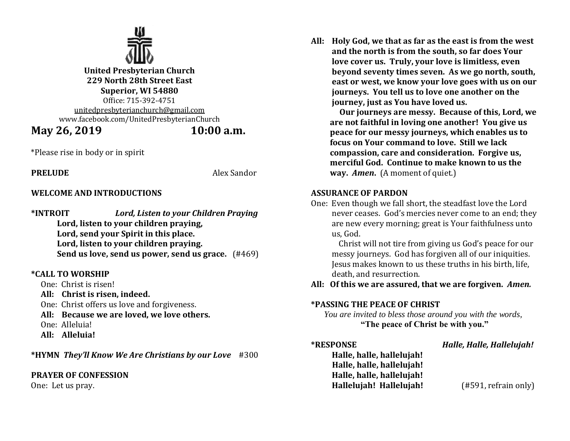

**United Presbyterian Church 229 North 28th Street East Superior, WI 54880** Office: 715-392-4751 [unitedpresbyterianchurch@gmail.com](mailto:unitedpresbyterianchurch@gmail.com) www.facebook.com/UnitedPresbyterianChurch

**May 26, 2019 10:00 a.m.**

\*Please rise in body or in spirit

**PRELUDE** Alex Sandor

# **WELCOME AND INTRODUCTIONS**

**\*INTROIT** *Lord, Listen to your Children Praying* **Lord, listen to your children praying, Lord, send your Spirit in this place. Lord, listen to your children praying. Send us love, send us power, send us grace.** (#469)

### **\*CALL TO WORSHIP**

- One: Christ is risen!
- **All: Christ is risen, indeed.**
- One: Christ offers us love and forgiveness.
- **All: Because we are loved, we love others.**
- One: Alleluia!
- **All: Alleluia!**

**\*HYMN** *They'll Know We Are Christians by our Love* #300

### **PRAYER OF CONFESSION**

One: Let us pray.

**All: Holy God, we that as far as the east is from the west and the north is from the south, so far does Your love cover us. Truly, your love is limitless, even beyond seventy times seven. As we go north, south, east or west, we know your love goes with us on our journeys. You tell us to love one another on the journey, just as You have loved us.** 

 **Our journeys are messy. Because of this, Lord, we are not faithful in loving one another! You give us peace for our messy journeys, which enables us to focus on Your command to love. Still we lack compassion, care and consideration. Forgive us, merciful God. Continue to make known to us the way.** *Amen***.** (A moment of quiet.)

### **ASSURANCE OF PARDON**

One: Even though we fall short, the steadfast love the Lord never ceases. God's mercies never come to an end; they are new every morning; great is Your faithfulness unto us, God.

Christ will not tire from giving us God's peace for our messy journeys. God has forgiven all of our iniquities. Jesus makes known to us these truths in his birth, life, death, and resurrection.

**All: Of this we are assured, that we are forgiven.** *Amen.*

### **\*PASSING THE PEACE OF CHRIST**

 *You are invited to bless those around you with the words,* **"The peace of Christ be with you."**

**Halle, halle, hallelujah! Halle, halle, hallelujah! Halle, halle, hallelujah! Hallelujah! Hallelujah!** (#591, refrain only)

# **\*RESPONSE** *Halle, Halle, Hallelujah!*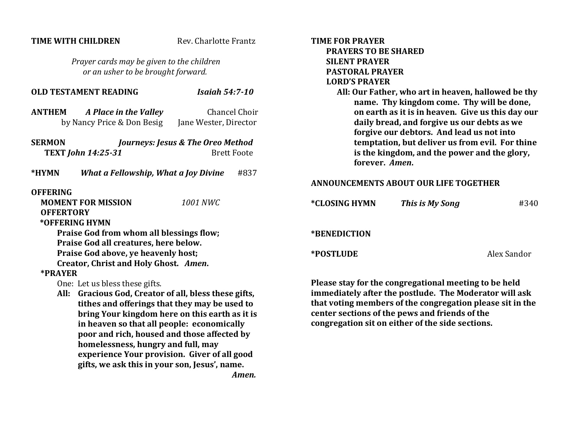#### **TIME WITH CHILDREN** Rev. Charlotte Frantz

*Prayer cards may be given to the children or an usher to be brought forward.*

# **OLD TESTAMENT READING** *Isaiah 54:7-10*

| <b>ANTHEM</b> | A Place in the Valley      | <b>Chancel Choir</b>  |
|---------------|----------------------------|-----------------------|
|               | by Nancy Price & Don Besig | Jane Wester, Director |

**SERMON** *Journeys: Jesus & The Oreo Method*  **TEXT** *John 14:25-31* Brett Foote

**\*HYMN** *What a Fellowship, What a Joy Divine* #837

#### **OFFERING**

 **MOMENT FOR MISSION** *1001 NWC*  **OFFERTORY \*OFFERING HYMN Praise God from whom all blessings flow; Praise God all creatures, here below. Praise God above, ye heavenly host; Creator, Christ and Holy Ghost.** *Amen***.** 

#### **\*PRAYER**

One: Let us bless these gifts.

**All: Gracious God, Creator of all, bless these gifts, tithes and offerings that they may be used to bring Your kingdom here on this earth as it is in heaven so that all people: economically poor and rich, housed and those affected by homelessness, hungry and full, may experience Your provision. Giver of all good gifts, we ask this in your son, Jesus', name.**  *Amen. Amen.* 

**TIME FOR PRAYER PRAYERS TO BE SHARED SILENT PRAYER PASTORAL PRAYER LORD'S PRAYER**

> **All: Our Father, who art in heaven, hallowed be thy name. Thy kingdom come. Thy will be done, on earth as it is in heaven. Give us this day our daily bread, and forgive us our debts as we forgive our debtors. And lead us not into temptation, but deliver us from evil. For thine is the kingdom, and the power and the glory, forever.** *Amen***.**

#### **ANNOUNCEMENTS ABOUT OUR LIFE TOGETHER**

| *CLOSING HYMN              | This is My Song | #340 |
|----------------------------|-----------------|------|
| <i><b>*BENEDICTION</b></i> |                 |      |

**\*POSTLUDE** Alex Sandor

**Please stay for the congregational meeting to be held immediately after the postlude. The Moderator will ask that voting members of the congregation please sit in the center sections of the pews and friends of the congregation sit on either of the side sections.**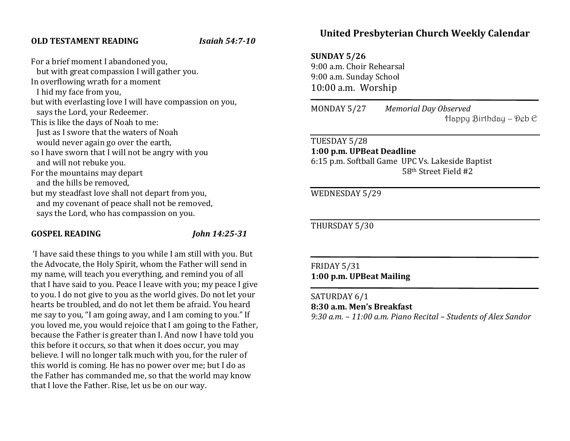#### **OLD TESTAMENT READING** *Isaiah 54:7-10*

For a brief moment I abandoned you, but with great compassion I will gather you. In overflowing wrath for a moment I hid my face from you, but with everlasting love I will have compassion on you, says the Lord, your Redeemer. This is like the days of Noah to me: Just as I swore that the waters of Noah would never again go over the earth, so I have sworn that I will not be angry with you and will not rebuke you. For the mountains may depart and the hills be removed, but my steadfast love shall not depart from you, and my covenant of peace shall not be removed, says the Lord, who has compassion on you.

# **GOSPEL READING** *John 14:25-31*

'I have said these things to you while I am still with you. But the Advocate, the Holy Spirit, whom the Father will send in my name, will teach you everything, and remind you of all that I have said to you. Peace I leave with you; my peace I give to you. I do not give to you as the world gives. Do not let your hearts be troubled, and do not let them be afraid. You heard me say to you, "I am going away, and I am coming to you." If you loved me, you would rejoice that I am going to the Father, because the Father is greater than I. And now I have told you this before it occurs, so that when it does occur, you may believe. I will no longer talk much with you, for the ruler of this world is coming. He has no power over me; but I do as the Father has commanded me, so that the world may know that I love the Father. Rise, let us be on our way.

# **United Presbyterian Church Weekly Calendar**

**SUNDAY 5/26** 9:00 a.m. Choir Rehearsal 9:00 a.m. Sunday School 10:00 a.m. Worship

 MONDAY 5/27 *Memorial Day Observed* Happy Birthday –  $P$ eb  $C$ 

TUESDAY 5/28 **1:00 p.m. UPBeat Deadline** 6:15 p.m. Softball Game UPC Vs. Lakeside Baptist 58th Street Field #2

WEDNESDAY 5/29

THURSDAY 5/30

FRIDAY 5/31 **1:00 p.m. UPBeat Mailing**

 $\overline{a}$ 

SATURDAY 6/1 **8:30 a.m. Men's Breakfast** *9:30 a.m. – 11:00 a.m. Piano Recital – Students of Alex Sandor*